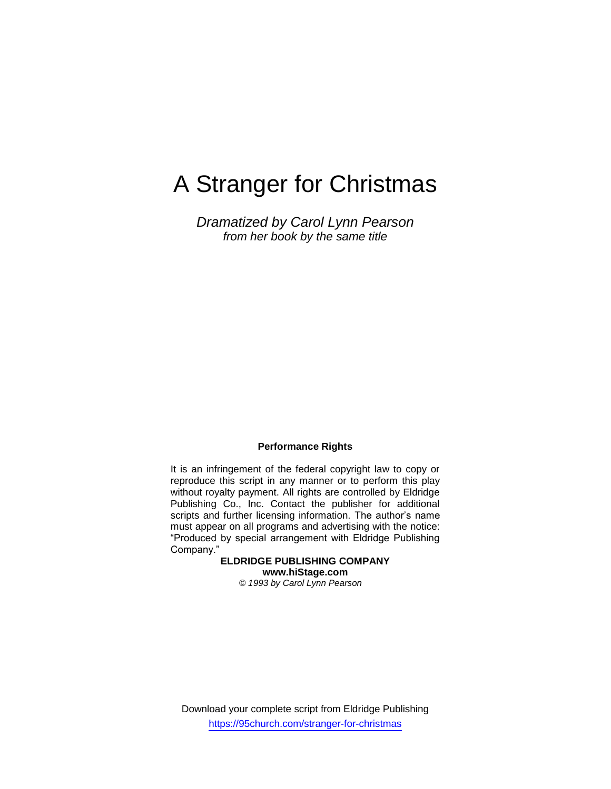# A Stranger for Christmas

*Dramatized by Carol Lynn Pearson from her book by the same title*

## **Performance Rights**

It is an infringement of the federal copyright law to copy or reproduce this script in any manner or to perform this play without royalty payment. All rights are controlled by Eldridge Publishing Co., Inc. Contact the publisher for additional scripts and further licensing information. The author's name must appear on all programs and advertising with the notice: "Produced by special arrangement with Eldridge Publishing Company."

**ELDRIDGE PUBLISHING COMPANY www.hiStage.com** *© 1993 by Carol Lynn Pearson*

Download your complete script from Eldridge Publishing https://95church.com/stranger-for-christmas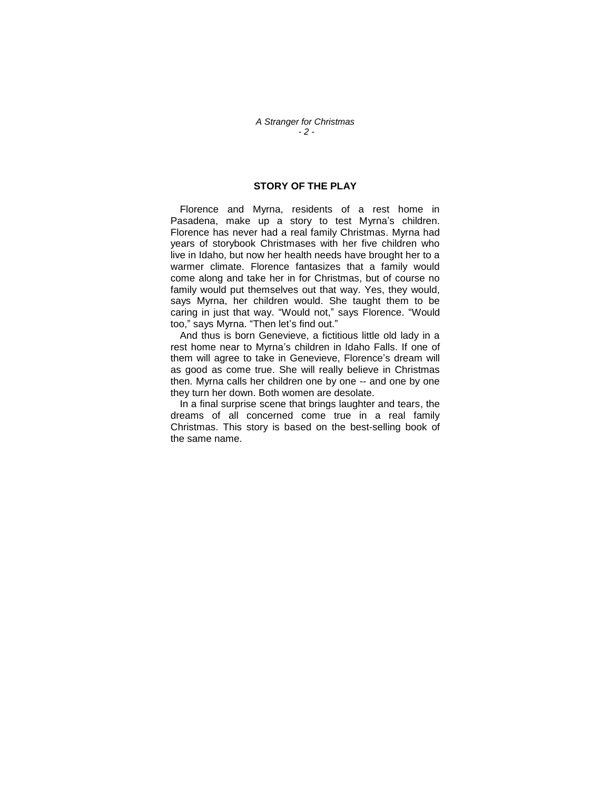## **STORY OF THE PLAY**

Florence and Myrna, residents of a rest home in Pasadena, make up a story to test Myrna's children. Florence has never had a real family Christmas. Myrna had years of storybook Christmases with her five children who live in Idaho, but now her health needs have brought her to a warmer climate. Florence fantasizes that a family would come along and take her in for Christmas, but of course no family would put themselves out that way. Yes, they would, says Myrna, her children would. She taught them to be caring in just that way. "Would not," says Florence. "Would too," says Myrna. "Then let's find out."

And thus is born Genevieve, a fictitious little old lady in a rest home near to Myrna's children in Idaho Falls. If one of them will agree to take in Genevieve, Florence"s dream will as good as come true. She will really believe in Christmas then. Myrna calls her children one by one -- and one by one they turn her down. Both women are desolate.

In a final surprise scene that brings laughter and tears, the dreams of all concerned come true in a real family Christmas. This story is based on the best-selling book of the same name.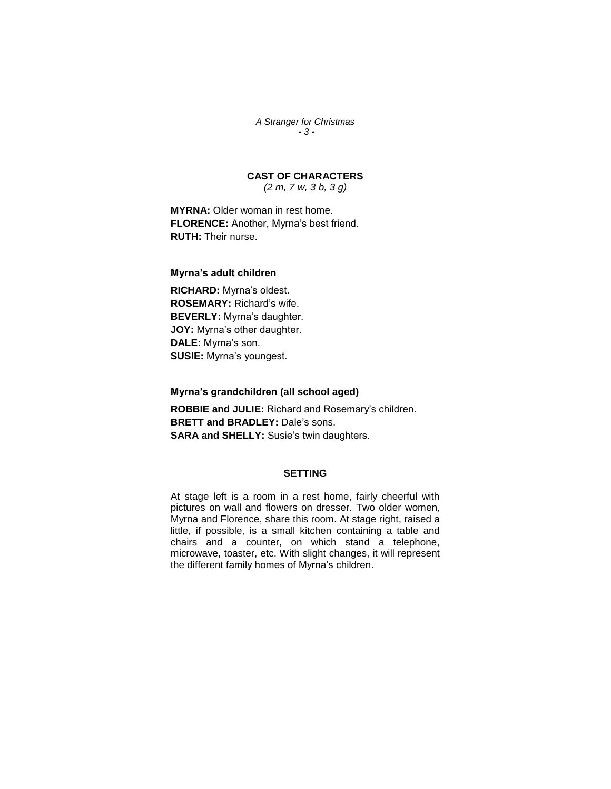*A Stranger for Christmas - 3 -*

**CAST OF CHARACTERS**

*(2 m, 7 w, 3 b, 3 g)*

**MYRNA:** Older woman in rest home. FLORENCE: Another, Myrna's best friend. **RUTH:** Their nurse.

#### **Myrna's adult children**

**RICHARD:** Myrna"s oldest. **ROSEMARY:** Richard"s wife. **BEVERLY:** Myrna's daughter. **JOY:** Myrna's other daughter. **DALE:** Myrna"s son. **SUSIE:** Myrna's youngest.

**Myrna's grandchildren (all school aged)**

**ROBBIE and JULIE:** Richard and Rosemary"s children. **BRETT and BRADLEY:** Dale"s sons. **SARA** and **SHELLY:** Susie's twin daughters.

### **SETTING**

At stage left is a room in a rest home, fairly cheerful with pictures on wall and flowers on dresser. Two older women, Myrna and Florence, share this room. At stage right, raised a little, if possible, is a small kitchen containing a table and chairs and a counter, on which stand a telephone, microwave, toaster, etc. With slight changes, it will represent the different family homes of Myrna's children.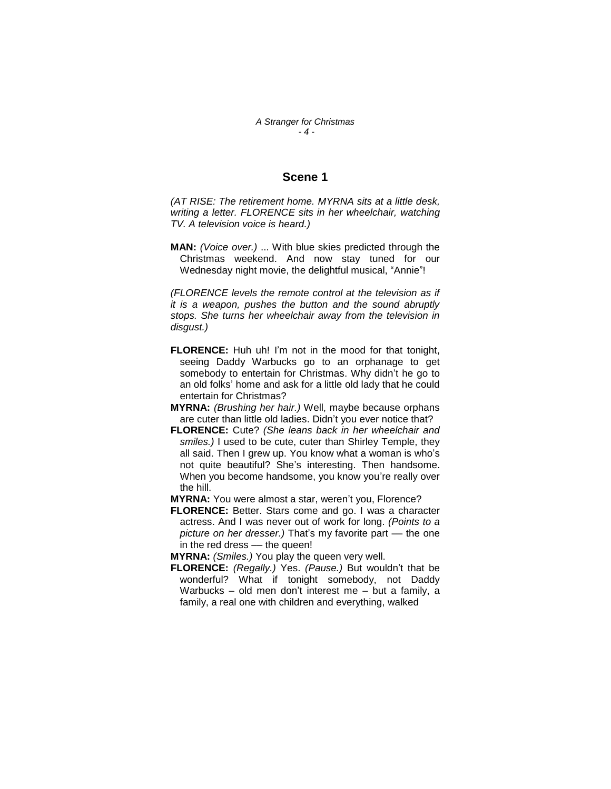## **Scene 1**

*(AT RISE: The retirement home. MYRNA sits at a little desk, writing a letter. FLORENCE sits in her wheelchair, watching TV. A television voice is heard.)*

**MAN:** *(Voice over.)* ... With blue skies predicted through the Christmas weekend. And now stay tuned for our Wednesday night movie, the delightful musical, "Annie"!

*(FLORENCE levels the remote control at the television as if it is a weapon, pushes the button and the sound abruptly stops. She turns her wheelchair away from the television in disgust.)*

- **FLORENCE:** Huh uh! I'm not in the mood for that tonight, seeing Daddy Warbucks go to an orphanage to get somebody to entertain for Christmas. Why didn't he go to an old folks" home and ask for a little old lady that he could entertain for Christmas?
- **MYRNA:** *(Brushing her hair.)* Well, maybe because orphans are cuter than little old ladies. Didn"t you ever notice that?
- **FLORENCE:** Cute? *(She leans back in her wheelchair and smiles.)* I used to be cute, cuter than Shirley Temple, they all said. Then I grew up. You know what a woman is who"s not quite beautiful? She"s interesting. Then handsome. When you become handsome, you know you"re really over the hill.
- **MYRNA:** You were almost a star, weren't you, Florence?
- **FLORENCE:** Better. Stars come and go. I was a character actress. And I was never out of work for long. *(Points to a picture on her dresser.)* That"s my favorite part –– the one in the red dress - the queen!
- **MYRNA:** *(Smiles.)* You play the queen very well.
- **FLORENCE:** *(Regally.)* Yes. *(Pause.)* But wouldn"t that be wonderful? What if tonight somebody, not Daddy Warbucks – old men don"t interest me – but a family, a family, a real one with children and everything, walked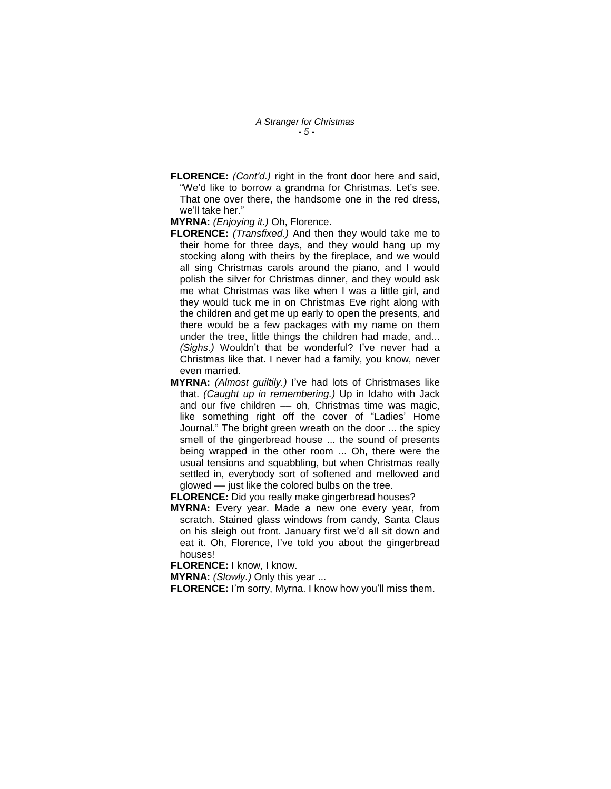*A Stranger for Christmas - 5 -*

**FLORENCE:** *(Cont'd.)* right in the front door here and said, "We"d like to borrow a grandma for Christmas. Let"s see. That one over there, the handsome one in the red dress, we"ll take her."

**MYRNA:** *(Enjoying it.)* Oh, Florence.

- **FLORENCE:** *(Transfixed.)* And then they would take me to their home for three days, and they would hang up my stocking along with theirs by the fireplace, and we would all sing Christmas carols around the piano, and I would polish the silver for Christmas dinner, and they would ask me what Christmas was like when I was a little girl, and they would tuck me in on Christmas Eve right along with the children and get me up early to open the presents, and there would be a few packages with my name on them under the tree, little things the children had made, and... *(Sighs.)* Wouldn't that be wonderful? I've never had a Christmas like that. I never had a family, you know, never even married.
- **MYRNA:** *(Almost guiltily.)* I"ve had lots of Christmases like that. *(Caught up in remembering.)* Up in Idaho with Jack and our five children - oh, Christmas time was magic, like something right off the cover of "Ladies' Home Journal." The bright green wreath on the door ... the spicy smell of the gingerbread house ... the sound of presents being wrapped in the other room ... Oh, there were the usual tensions and squabbling, but when Christmas really settled in, everybody sort of softened and mellowed and glowed –– just like the colored bulbs on the tree.

**FLORENCE:** Did you really make gingerbread houses?

**MYRNA:** Every year. Made a new one every year, from scratch. Stained glass windows from candy, Santa Claus on his sleigh out front. January first we"d all sit down and eat it. Oh, Florence, I've told you about the gingerbread houses!

**FLORENCE:** I know, I know.

**MYRNA:** *(Slowly.)* Only this year ...

**FLORENCE:** I'm sorry, Myrna. I know how you'll miss them.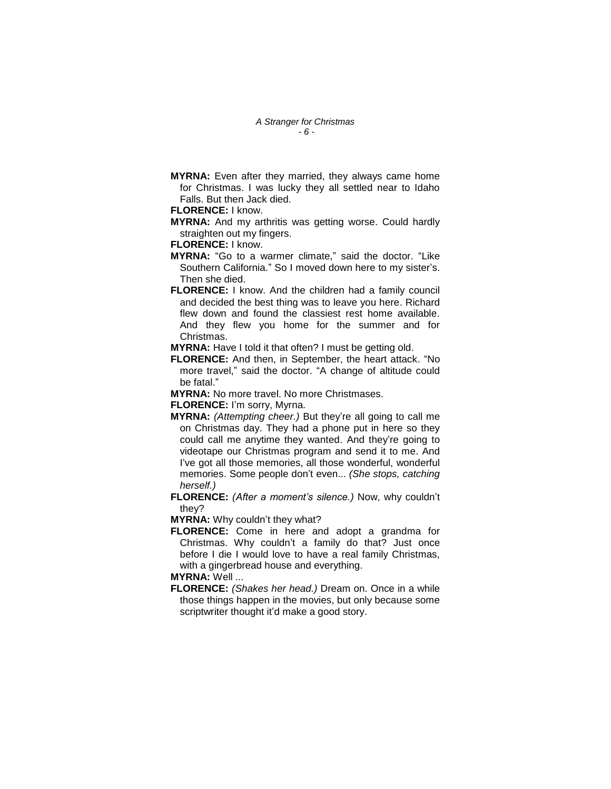**MYRNA:** Even after they married, they always came home for Christmas. I was lucky they all settled near to Idaho Falls. But then Jack died.

#### **FLORENCE:** I know.

**MYRNA:** And my arthritis was getting worse. Could hardly straighten out my fingers.

#### **FLORENCE:** I know.

- **MYRNA:** "Go to a warmer climate," said the doctor. "Like Southern California." So I moved down here to my sister's. Then she died.
- **FLORENCE:** I know. And the children had a family council and decided the best thing was to leave you here. Richard flew down and found the classiest rest home available. And they flew you home for the summer and for Christmas.
- **MYRNA:** Have I told it that often? I must be getting old.
- **FLORENCE:** And then, in September, the heart attack. "No more travel," said the doctor. "A change of altitude could be fatal."
- **MYRNA:** No more travel. No more Christmases.

**FLORENCE:** I'm sorry, Myrna.

- **MYRNA:** *(Attempting cheer.)* But they"re all going to call me on Christmas day. They had a phone put in here so they could call me anytime they wanted. And they"re going to videotape our Christmas program and send it to me. And I"ve got all those memories, all those wonderful, wonderful memories. Some people don"t even... *(She stops, catching herself.)*
- **FLORENCE:** *(After a moment's silence.)* Now, why couldn"t they?
- **MYRNA:** Why couldn"t they what?
- **FLORENCE:** Come in here and adopt a grandma for Christmas. Why couldn"t a family do that? Just once before I die I would love to have a real family Christmas, with a gingerbread house and everything.

## **MYRNA:** Well ...

**FLORENCE:** *(Shakes her head.)* Dream on. Once in a while those things happen in the movies, but only because some scriptwriter thought it'd make a good story.